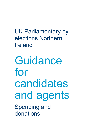UK Parliamentary byelections Northern Ireland

**Guidance** for candidates and agents Spending and donations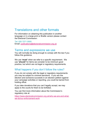## Translations and other formats

For information on obtaining this publication in another language or in a large-print or Braille version please contact the Electoral Commission:

Tel: 020 7271 0500 Email: [publications@electoralcommission.org.uk](mailto:publications@electoralcommission.org.uk)

### Terms and expressions we use

You will normally be doing enough to comply with the law if you follow this guidance.

We use **'must'** when we refer to a specific requirement. We use **'should'** for items we consider to be minimum good practice, but which are not legal or regulatory requirements.

### What happens if you don't follow the rules?

If you do not comply with the legal or regulatory requirements you may be subject to criminal sanctions. If you win the election and someone succeeds in an election petition against your campaign activities or reporting, you could be barred from holding office.

If you take donations that you can't legally accept, we may apply to the courts for them to be forfeited.

You can find more information about the Commission's regulatory role at:

[https://www.electoralcommission.org.uk/who-we-are-and-what](https://www.electoralcommission.org.uk/who-we-are-and-what-we-do/our-enforcement-work)[we-do/our-enforcement-work](https://www.electoralcommission.org.uk/who-we-are-and-what-we-do/our-enforcement-work)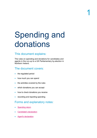# Spending and donations

## This document explains:

The rules on spending and donations for candidates and agents in the run-up to a UK Parliamentary by-election in Northern Ireland.

## The document covers:

- the regulated period
- how much you can spend
- the activities covered by the rules
- which donations you can accept
- how to check donations you receive
- recording and reporting spending

## Forms and explanatory notes:

- **[Spending return](https://www.electoralcommission.org.uk/__data/assets/pdf_file/0020/117722/form-ukpb-ni-ca.pdf)**
- [Candidate's declaration](https://www.electoralcommission.org.uk/__data/assets/pdf_file/0011/87932/Declaration-candidate-UK-Parliament---Final.pdf)
- [Agent's declaration](https://www.electoralcommission.org.uk/__data/assets/pdf_file/0003/87933/Declaration-Agent-UK-Parliament---Final.pdf)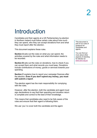## Introduction

Candidates and their agents at a UK Parliamentary by-election in Northern Ireland must follow certain rules about how much they can spend, who they can accept donations from and what they must report after the election.

This document explains these rules.

**Section A** sets out the rules on what you can spend, the activities covered by the rules and what information needs to be recorded.

**Section B** sets out the rules on donations, how to check if you can accept them and what records you must keep. Donations include contributions of money, goods or services towards your spending.

**Section C** explains how to report your campaign finances after the election. **Even if you don't spend any money, you must still submit a report**.

The election agent has the main responsibility for complying with the rules.

However, after the election, both the candidate and agent must sign declarations to say that their spending and donation return is complete and correct to the best of their knowledge.

This means that candidates also need to be fully aware of the rules and ensure that their agent is following them.

We use 'you' to cover both the candidate and the agent.

This document is part of our suite of guidance for candidates and agents.

You can find out more about other aspects of standing for election at www.eoni.org.uk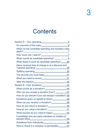## **Contents**

| When do the candidate spending and donation rules  |
|----------------------------------------------------|
|                                                    |
| What counts as candidate spending? 8               |
| What doesn't count as candidate spending?26        |
| Items received free of charge or at a discount and |
|                                                    |
|                                                    |
|                                                    |
|                                                    |
|                                                    |
|                                                    |
| Who can you accept a donation from? 47             |
| How do you decide if you can accept a donation? 48 |
| Donations given on behalf of others  48            |
| When do you 'receive' a donation? 49               |
| How do you return a donation? 49                   |
|                                                    |
| What records do you need to keep?52                |
| Candidates who are party members or holders of     |
|                                                    |
| How to check if a company is permissible 57        |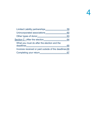| What you must do after the election and the           |  |
|-------------------------------------------------------|--|
| Invoices received or paid outside of the deadlines 66 |  |
|                                                       |  |
|                                                       |  |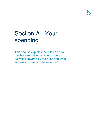## <span id="page-6-0"></span>Section A - Your spending

This section explains the rules on how much a candidate can spend, the activities covered by the rules and what information needs to be recorded.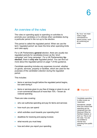## <span id="page-7-0"></span>An overview of the rules

The rules on spending apply to spending on activities to promote your candidacy or to criticise other candidates during a particular period in the run-up to the election.

This period is called the regulated period. When we use the term 'regulated period' we mean the time when spending limits and rules apply.

For a UK Parliametary **general** election, there are usually two regulated periods for candidates known as the 'short campaign' and 'long campaign'. For a UK Parliamentary **byelection**, there is **only one** regulated period. You can find out more about the regulated period on page 7 of this guidance.

Candidate spending includes any expenses incurred, whether on goods, services, property or facilities, which are used for the purposes of the candidate's election during the regulated period.

This includes:

- items or services bought before the regulated period begins, but used during it
- items or services given to you free of charge or given to you at a non-commercial discount of more than 10% – known as notional spending

There are rules covering:

- who can authorise spending and pay for items and services
- how much you can spend
- which activities count towards your spending limit
- deadlines for receiving and paying invoices
- what records you must keep
- how and when you report your spending

By 'incur' we mean make a legal commitment to spend money, such as confirming an order.



Candidate spending is often known as 'expenses'.

Sometimes, people think this means that spending can be reclaimed from the Electoral Office for Northern Ireland, or from us. This is not the case. You are not entitled to recover any spending from public funds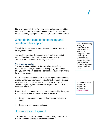It is **your** responsibility to fully and accurately report candidate spending. You should ensure you understand the rules and that all spending is properly authorised, recorded and reported.

## <span id="page-8-0"></span>When do the candidate spending and donation rules apply?

We call the time when the spending and donation rules apply the 'regulated period.'

You must keep within the spending limit for the regulated period. You should also keep separate records of your spending and donations for the regulated period.

#### **The regulated period**

The regulated period begins **the day after** you officially become a candidate, and ends on polling day. The earliest date you can officially become a candidate is the day on which the vacancy occurs.

You will become a candidate on this date if you or others have already announced your intention to stand. For example, your party may have issued a press release when you were selected, or you might have announced your intention at a residents' meeting.

If your intention to stand has not been announced by then, you will officially become a candidate on the earlier of:

- the date you or another person declare your intention to stand
- the date when you are nominated

### <span id="page-8-1"></span>How much can I spend?

The spending limit for candidates during the regulated period at a UK Parliamentary by-election is **£100,000**.

If you start spending money on campaigning but later decide not to stand as a candidate, or your nomination is rejected for any reason, you will not need to account for your expenses during the regulated period or submit a return.

More information on becoming a candidate is available at [www.eoni.org.uk.](http://www.eoni.org.uk/)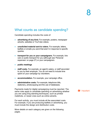## <span id="page-9-0"></span>What counts as candidate spending?

Candidate spending includes the costs of:

- **advertising of any kind.** For example, posters, newspaper adverts, websites or YouTube videos.
- **unsolicited material sent to voters.** For example, letters, leaflets or emails you send that aren't in response to specific queries.
- **transport for you or your campaigners.** For example, hire cars or public transport for you (although see 'Personal expenses' on page 27) or your campaigners
- **public meetings**
- **staff costs.** For example, an agent's salary, or staff seconded to you by their employer. You do not need to include time spent on your campaign by volunteers.
- **accommodation.** For example, your campaign office.
- **administrative costs.** For example, telephone bills, stationery, photocopying and the use of databases.

Payments made for digital campaigning must be reported. The same rules apply to candidate spending on advertising whether you are using long standing techniques, such as printed mailshots, or newer ones such as online adverts.

For each activity, you must include all the associated costs. For example, if you are producing leaflets or advertising, you must include the design and distribution costs.

More details on each category are given on the following pages.

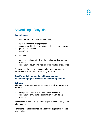## Advertising of any kind

### **General costs:**

This includes the cost of use, or hire, of any:

- agency, individual or organisation
- services provided by any agency, individual or organisation
- **premises or facilities**
- equipment

that is used to:

- prepare, produce or facilitate the production of advertising material
- disseminate advertising material by distribution or otherwise

For example, the hire of a photographer and premises to produce images for use in advertising material.

### **Specific costs in connection with producing or disseminating digital or electronic advertising material**

#### **Software**

It includes the cost of any software of any kind, for use on any device to:

- design and produce advertising material in-house
- disseminate or facilitate dissemination of advertising material

whether that material is distributed digitally, electronically or via other means.

For example, a licensing fee for a software application for use on a device.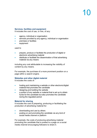#### **Services, facilities and equipment**

It includes the cost of use, or hire, of any:

- agency, individual or organisation
- services provided by any agency, individual or organisation
- premises or facilities
- equipment

#### used to

- prepare, produce or facilitate the production of digital or electronic advertising material
- distribute or facilitate the dissemination of that advertising material via any means

including any cost attributable to increasing the visibility of content by any means.

For example, the purchase of a more prominent position on a page within a search engine.

### **Websites and other digital material**

It includes the costs of:

- hosting and maintaining a website or other electronic/digital material that promotes the candidate
- designing and building the website
- a portion of any website or material that is set up to obtain funds for the candidate but also promotes the candidate during the regulated period

#### **Material for sharing**

It includes the cost of preparing, producing or facilitating the production of advertising material for:

- downloading and use by others
- posting on and promoting the candidate via any kind of social media channel or platform

For example, the costs of producing advertising material promoting the candidate that is posted to a page on a social media channel encouraging followers to share it.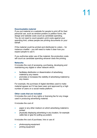### **Downloadable material**

If you put material on a website for people to print off for their personal use, such as window posters or petition forms, the design and website costs count as candidate spending. You do not need to count people's print costs against your spending limit, unless people are printing documents on your behalf.

If the material could be printed and distributed to voters – for instance a leaflet – you will need to make it clear how you expect people to use it.

If you authorise wider use of the material, the production costs will count as candidate spending whoever does the printing.

#### **Networks**

It includes the cost of accessing, purchasing, developing and maintaining any digital or other network which:

- facilitates distribution or dissemination of advertising material by any means
- promotes or increases the visibility of advertising material by any means

For example, the purchase of digital identities used to make material appear as if it has been seen and approved by a high number of users on a social media platform.

### **Other costs that are included**

It includes the cost of any rights or licensing fee for any image used in producing advertising material.

It includes the cost of:

- paper or any other medium on which advertising material is printed
- physically displaying advertising in any location, for example cable ties or glue for putting up posters

It includes the cost of purchase, hire or use of:

- photocopying equipment
- **printing equipment**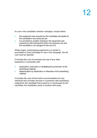for use in the candidate's election campaign, except where:

- the equipment was acquired by the candidate principally for the candidate's own personal use
- it is provided by another individual, the equipment was acquired by that individual for their own personal use and the candidate is not charged for the use of it

Where paper, photocopying equipment or a printer is purchased or hired principally for use in the campaign, the full cost must be reported.

It includes the cost of purchase and use of any other equipment in connection with:

- preparation, production or facilitating the production of the advertising material
- dissemination by distribution or otherwise of the advertising material

It includes the cost of food and/or accommodation for any individual who provides services in connection with advertising material for the candidate that is paid for or reimbursed by the candidate, the candidate's party or another third party.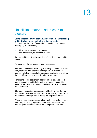## Unsolicited material addressed to electors

### **Costs associated with obtaining information and targeting or identifying voters, including database costs**

This includes the cost of accessing, obtaining, purchasing, developing or maintaining:

- IT software or contact databases
- any information, by whatever means

that is used to facilitate the sending of unsolicited material to voters.

For example, the purchase of email addresses.

It includes the cost of accessing, obtaining or developing data sets, including data analytics to target voters by whatever means, including the cost of agencies, organisations or others that identify groups of voters, by whatever means.

For example, the cost of any agency paid to analyse social media content to facilitate targeting of voters in a specific electoral area and the cost of modelling by an agency based on that analysis.

It includes the cost of any services to identify voters that are purchased, developed or provided before the regulated period, but are used to target voters during the regulated period.

Where information or access to information is obtained from a third party, including a political party, the commercial cost of obtaining that information from the third party is included.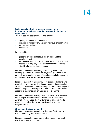### **Costs associated with preparing, producing, or distributing unsolicited material to voters, including via digital means**

This includes the cost of use, or hire, of any:

- agency, individual or organisation
- services provided by any agency, individual or organisation
- **premises or facilities**
- equipment

that is used to:

- prepare, produce or facilitate the production of the unsolicited material
- disseminate the unsolicited material by distribution or other means, including any cost attributable to increasing the visibility of material via any means

It includes the cost of delivering material by any means including electronic means or the physical distribution of the material, for example the cost of envelopes and stamps or the purchase of a system for sending emails.

It includes the cost of accessing, developing and maintaining any digital or other network which promotes or increases the visibility of unsolicited material on any platform. For example, if a candidate pays a developer to create an app that facilitates targeting of their material on a social media channel.

It includes the cost of oversight and maintenance of all social media, digital or other forms of distribution of unsolicited material. This includes the maintenance of all social media accounts, including if they are maintained by another entity/individual.

#### **Other costs that are included**

It includes the cost of any rights or licensing fee for any image used in producing unsolicited material.

It includes the cost of paper or any other medium on which unsolicited material is printed.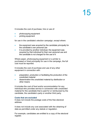It includes the cost of purchase, hire or use of:

- photocopying equipment
- printing equipment

for use in the candidate's election campaign, except where:

- the equipment was acquired by the candidate principally for the candidate's own personal use
- it is provided by another individual, the equipment was acquired by that individual for their own personal use and the candidate is not charged for the use of it

Where paper, photocopying equipment or a printer is purchased or hired principally for use in the campaign, the full cost must be reported.

It includes the cost of purchase and use of any other equipment in connection with:

- preparation, production or facilitating the production of the unsolicited material
- dissemination the unsolicited material by distribution or other means

It includes the cost of food and/or accommodation for any individual who provides service in connection with unsolicited material for the candidate that is paid for or reimbursed by the candidate, the candidate's party or another third party.

### **Costs that are excluded**

It does not include the postage costs of the free electoral address.

It does not include any cost associated with the obtaining of data as permitted under any statute or regulation.

For example, candidates are entitled to a copy of the electoral register.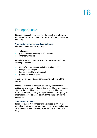## Transport costs

It includes the cost of transport for the agent where they are reimbursed by the candidate, the candidate's party or another third party.

### **Transport of volunteers and campaigners**

It includes the cost of transporting:

- volunteers
- party members, including staff members
- other campaigners

around the electoral area, or to and from the electoral area, including the cost of:

- tickets for any transport, including any booking fee
- hiring of any transport
- fuel purchased for any transport
- parking for any transport

where they are undertaking campaigning on behalf of the candidate.

It includes the cost of transport paid for by any individual, political party or other third party that is paid for or reimbursed either by the candidate, the political party or a third party, where the individuals being transported were campaigning or undertaking activities associated with the campaign for the candidate.

### **Transport to an event**

It includes the cost of transporting attendees to an event promoting the candidate where that cost is reimbursed or paid for by the candidate, the candidate's party or another third party.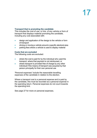### **Transport that is promoting the candidate**

This includes the cost of use, or hire, of any vehicle or form of transport that displays material promoting the candidate, including any cost associated with:

- design and application of the design to the vehicle or form of transport
- driving or moving a vehicle around a specific electoral area
- parking fees where a vehicle is used to display material

#### **Costs that are excluded**

The following costs are excluded:

- where the cost is paid for by the individual who used the transport, where that payment is not reimbursed, or
- where transport is provided free of charge by any other individual if the means of transport was acquired by that person principally for their own personal use

'Personal expenses' include the reasonable travelling expenses of the candidate in relation to the election.

Where a transport cost is a personal expense and is paid by the candidate, this must be recorded as a personal expense in the spending return. Personal expenses do not count towards the spending limit.

See page 27 for more on personal expenses.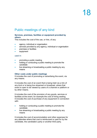## Public meetings of any kind

### **Services, premises, facilities or equipment provided by others**

This includes the cost of the use, or hire, of any:

- agency, individual or organisation
- services provided by any agency, individual or organisation
- **premises or facilities**
- equipment

#### used in:

- promoting a public meeting
- holding or conducting a public meeting to promote the candidate
- live streaming or broadcasting a public meeting by any means

### **Other costs under public meetings**

It includes the cost of promoting or advertising the event, via any means.

It includes the cost of an event that is being held via a link of any kind or is being live streamed or broadcast, where that event is open to be viewed by users of a channel or platform or by other means.

It includes the cost of the provision of any goods, services or facilities at the event, for example the cost of hiring seating. It includes the cost of purchase of any equipment in connection with:

- holding or conducting a public meeting to promote the candidate
- live streaming or broadcasting a public meeting by any means

It includes the cost of accommodation and other expenses for any attendee where that cost is reimbursed or paid for by the candidate, the candidate's party or another third party.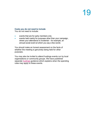#### **Costs you do not need to include**

You do not need to include:

- events that are for party members only
- events held mainly for purposes other than your campaign, where your attendance is incidental – for example, an annual social event at which you say a few words

You should make an honest assessment on the facts of whether the meeting is genuinely being held for other purposes.

You may also be invited to attend hustings events run by local organisations or community groups. We have published separate **hustings** guidance which explains when the spending rules may apply to these events.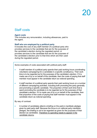## Staff costs

### **Agent costs**

This includes any remuneration, including allowances, paid to the agent.

### **Staff who are employed by a political party**

It includes the cost of any staff member of a political party who provides services to the candidate that are for the purposes of the candidate's election during the regulated period, or provides services to the candidate that are for the purposes of the candidate's election prior to that time which are then used during the regulated period.

Some examples of costs associated with political party staff:

- A staff member of a political party spends their paid working hours coordinating volunteers campaigning for a candidate in a specific constituency. Their work time is to be regarded as for the purposes of the candidate's election. If it is made use of by or on behalf of the candidate, then the costs of paying that staff member must appear in the candidate return as notional spending.
- A staff member of a political party spends their paid working hours on a number of different campaigning activities, including both promoting the party generally and promoting a specific candidate. The proportion of their work time that is spent promoting the candidate is to be regarded as for the purposes of that candidate's election. If it is made use of by or on behalf of the candidate, then that proportion of the costs of paying that staff member must appear in the candidate return as notional spending.

By way of contrast:

• A number of candidates attend a briefing on the party's manifesto pledges given by paid party staff. Because the focus is on national party manifesto pledges, the briefing is not to be regarded as given for the purposes of their election as candidates. Therefore no spending needs to appear in the candidate returns.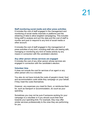#### **Staff monitoring social media and other press activities**

It includes the cost of staff engaged in the management and monitoring of social media channels or platforms and the obtaining of data to allow targeted campaigning. This includes hiring staff to analyse and sort the data and the cost of staff to monitor and post or respond to any kind of social media or other account.

It includes the cost of staff engaged in the management of press activities of any kind, including staff who are liaising with, managing or monitoring any kind of media activity by any means in connection with the candidate's election.

#### **Any other person whose services are engaged**

It includes the cost of any other person whose services are engaged in connection with the candidate's election.

#### **Volunteer time**

It does not include the cost for services of an agent or any other person who is a volunteer.

You also do not have include the costs of people's travel, food and accommodation costs while they campaign on your behalf, if they meet the costs themselves.

However, any expenses you meet for them, or reimburse them for, such as transport or accommodation, do count as your spending.

Sometimes you may not be sure if someone working for your campaign is a volunteer or if you should count their time towards your spending limit. For example, they may offer similar services professionally to the ones they are performing for you.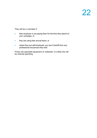They will be a volunteer if:

- their employer is not paying them for the time they spend on your campaign, or
- they are using their annual leave, or
- where they are self-employed, you won't benefit from any professional insurances they hold

If they use specialist equipment or materials, it is likely this will be notional spending.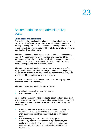## Accommodation and administrative costs

### **Office space and equipment**

This includes the rental cost of office space, including business rates, for the candidate's campaign, whether newly rented or under an existing rental agreement, and so notional spending will be incurred where such office space is provided free of charge or at a discount by a political party or a third party.

It includes the cost of office space where that office space is being shared. An apportionment must be made and an amount that reasonably reflects the use by the candidate in campaigning must be included in the return for the candidate. This amount will count towards the spending limit of the candidate.

It includes the cost of purchase, use or hire of any general office equipment for the candidate's campaign, and so notional spending will be incurred where such equipment is provided free of charge or at a discount by a political party or a third party.

For example, desks, chairs and computers provided by a party for use in the candidate's campaign.

It includes the cost of purchase, hire or use of:

- mobile phones or other hand-held devices
- the associated contracts

for use in the campaign by the candidate, agent and any other staff or volunteer, where that equipment and/or associated costs are paid for by the candidate, the candidate's party or another third party except where:

- the equipment was acquired by the candidate principally for the candidate's own personal use and the costs are not more than would usually be incurred outside of an election period.
- it is provided by another individual, the equipment was acquired by that individual for their own personal use, the costs are not more than would usually be incurred outside of an election period and the candidate is not charged for the use of it.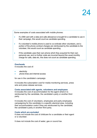Some examples of costs associated with mobile phones:

- If a SIM card with a data and calls allowance is bought for a candidate to use in their campaign, this would count as candidate spending.
- If a volunteer's mobile phone is used to co-ordinate other volunteers, and a portion of the phone contract charges are reimbursed by the candidate to the volunteer, this would count as candidate spending.
- If the candidate uses their own phone which they acquired for their own personal use, and no further costs are incurred beyond the usual monthly charge for calls, data etc, this does not count as candidate spending.

### **Overheads**

It includes the cost of:

- **electricity**
- phone lines and internet access

for use in the candidate's campaign.

It includes the subscription cost for media monitoring services, press wire and press release services.

### **Costs associated with agents, volunteers and employees**

It includes the cost of accommodation for the agent where it is reimbursed by the candidate, the candidate's party or another third party.

It includes the cost of volunteers, employees and party employees campaigning for the candidate in a specific electoral area, including their accommodation costs if they are reimbursed by the candidate, the candidate's party or another third party.

#### **Costs which are excluded**

It does not include the cost of childcare for a candidate or their agent or a volunteer.

It does not include the cost of water, gas or council tax.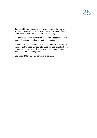It does not include the provision by any other individual of accommodation which is the sole or main residence of the individual if the provision is made free of charge.

'Personal expenses' include the reasonable accommodation costs of the candidate in relation to the election.

Where an accommodation cost is a personal expense for the candidate, this does not count towards the spending limit. If it is paid by the candidate, it must be recorded as a personal expense in the spending return.

See page 27 for more on personal expenses.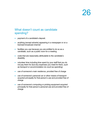## <span id="page-27-0"></span>What doesn't count as candidate spending?

- payment of a candidate's deposit.
- anything (except adverts) appearing in a newspaper or on a licensed broadcast channel
- facilities you use because you are entitled to do so as a candidate, such as a public room for a meeting
- costs that are reasonably attributable to the candidate's disability
- volunteer time including time spent by your staff that you do not pay them for (but any expenses you meet for them, such as transport or accommodation do count as spending)
- use of someone's main residence, provided free of charge
- use of someone's personal car or other means of transport acquired principally for that person's use and provided free of charge
- use of someone's computing or printing equipment acquired principally for that person's personal use and provided free of charge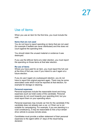## Use of items

When you use an item for the first time, you must include the cost.

#### **Items that are not used**

You do not have to report spending on items that are not used (for example if leaflets are never distributed) and this does not count against the spending limit.

You should retain the unused material or evidence it was destroyed.

If you use the leftover items at a later election, you must report the spending on those items at that later election.

#### **Re-use of items**

Where you have paid for an item, you must report the full cost at the time of first use, even if you intend to use it again at a future election.

If you do use it again at a subsequent election, you do not have to report the original payment again. There may be some associated costs which must be reported at that election, for example for storage or cleaning.

#### **Personal expenses**

Personal expenses include the reasonable travel and living expenses (such as hotel costs) of the candidate. Personal expenses do not count towards your spending limit, but you must report them on your spending return.

Personal expenses may include car hire for the candidate if the candidate does not already own a car, or if their car is not suitable for campaigning. For example, if you are standing in a rural constituency, it may be reasonable to hire a four-wheeldrive vehicle to access remote areas.

Candidates must provide a written statement of their personal expenses to the agent within 21 days of the result being declared.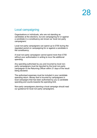## <span id="page-29-0"></span>Local campaigning

Organisations or individuals, who are not standing as candidates at the elections, but are campaigning for or against a candidate in a constituency are known as 'local non-party campaigners'.

Local non-party campaigners can spend up to £700 during the regulated period on campaigning for or against a candidate in the constituency.

A local non-party campaigner cannot spend more than £700 without your authorisation in writing to incur the additional spending.

Any spending authorised by you and incurred by local nonparty campaigners must be reported by the local non-party campaigner to the Returning Officer within 21 days of the result being declared.

The authorised expenses must be included in your candidate spending return. Money that is incurred by campaigners in local campaigns that has been authorised by you is candidate spending and counts towards the spending limit.

Non-party campaigners planning a local campaign should read our guidance for local non-party campaigners.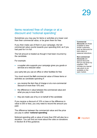## Items received free of charge or at a discount and 'notional spending'

Sometimes you may pay for items or activities at a lower cost than their commercial value, or be given them for free.

If you then make use of them in your campaign, the full commercial value counts towards your spending limit, as if you had paid for it in full.

The full amount is treated as though it had been incurred by the candidate.

For example:

a supplier who supports your campaign gives you goods or services at a reduced value

your party lets you use an office or other facilities for free

You must record the **full** commercial value of these items or activities as candidate spending if:

- you receive the item free of charge or at a non-commercial discount of more than 10% and;
- the difference in value between the commercial value and what you pay is more than £50
- they are made use of by or on behalf of the candidate

If you receive a discount of 10% or less or the difference in value is £50 or less, you only need to record the amount you paid.

The difference between the commercial value and the price you pay is called '**notional spending**'.

Notional spending with a value of more than £50 will also be a donation. You can find out more about the rules on donations in Section B of this guidance.

#### **Commercial**

**discounts** are those available to other similar customers, such as discounts for bulk orders or seasonal reductions.

#### **Non-commercial discounts** are special discounts that you are given by suppliers. This includes any special rate which is not available on the open market.

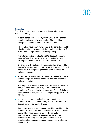#### **Examples**

The following examples illustrate what is and what is not notional spending.

• A party sends some leaflets, worth £200, to one of their candidates to use in their campaign. The candidate accepts the leaflets and then distributes them.

The leaflets have been transferred to the candidate, and by distributing them the candidate has made use of them. The £200 must be reported as notional spending.

• A printer gives the candidate a 50% discount on printing their leaflets. The candidate accepts the leaflets and arranges for volunteers to deliver them to voters.

By arranging the delivery, the candidate has arranged for the leaflets to be used on their behalf. If it is over £50, 50% of the value of the printing costs must be reported as notional spending.

• A party sends one of their candidates some leaflets to use in their campaign, but the candidate and their agent never deliver the leaflets.

Although the leaflets have been provided to the candidate, they not been made use of by or on behalf of the candidate. This is not notional spending. The leaflets have not been used at all, and no spending need appear in the return.

• A party sends out some leaflets that promote the candidate, directly to voters. They inform the candidate they're going to do so in advance.

In this example, the party has not provided anything to the candidate – they have just told the candidate what they are doing. They have campaigned for the candidate themselves. Although the leaflets may benefit the candidate, the party has not given something to the candidate that the candidate can then decide whether or how to use.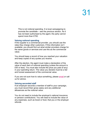This is not notional spending. It is local campaigning to promote the candidate – see the previous section. As it has not been authorised by the agent, the party cannot spend more than £700.

#### **Valuing notional spending**

If the supplier is a commercial provider, you should use the rates they charge other customers. If this information isn't available, you should find out what similar providers charge for the same goods or services and use this as the commercial value.

You should keep a record of how you reached your valuation and keep copies of any quotes you receive.

After the election, the agent must make a declaration of the value of each item of notional spending (unless the amount is £50 or less). You must also include the price you paid (if any) in your spending return. The value you declare must be a fair and honest assessment of the commercial value.

If you are not sure how to value something, please [email](mailto:infonorthernireland@electoralcommission.org.uk) or call us for advice.

#### **Valuing seconded staff**

If an employer seconds a member of staff to your campaign, you must record their gross salary and any additional allowances as the notional value.

You do not need to include the employer's national insurance or pension contributions. You will need to include the value of any expenses, such as travel or food, that you or the employer refunds.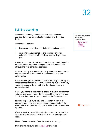## <span id="page-33-0"></span>Splitting spending

Sometimes, you may need to split your costs between activities that count as candidate spending and those that don't.

For example, between:

- items used both before and during the regulated period
- spending on your campaign and spending on other activities such as an office that you share with your local party

In all cases you should make an honest assessment, based on the facts, of the proportion of expenditure that can fairly be attributed to your candidate spending.

For example, if you are sharing a party office, the telephone bill may only provide a breakdown of the cost of calls over a certain value.

In these cases, you should consider the best way of making an honest assessment on the information you have. For example, you could compare the bill with one that does not cover a regulated period.

Where you intend to use material again, at a future election for instance, you should report the full cost at the time of first use. You do not then have to report it again at the future election.

It is your responsibility to fully and accurately report your candidate spending. You should ensure you understand the rules and that all spending is properly authorised, recorded and reported.

After the election, you will have to sign a return to declare that it is complete and correct to the best of your knowledge and belief.

It is an offence to make a false declaration knowingly.

If you are still not sure, call or [email us](mailto:infonorthernireland@electoralcommission.org.uk) for advice.

For more information on splitting spending, see:

**Expert paper:** [splitting](https://www.electoralcommission.org.uk/media/2916)  [spending](https://www.electoralcommission.org.uk/media/2916)

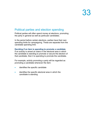## Political parties and election spending

Political parties will often spend money at elections, promoting the party in general as well as particular candidates.

In the period before certain elections, parties have their own spending limits for campaigning. These are separate from the candidate spending limit.

#### **Deciding if an item is spending to promote a candidate**

If an activity is aimed at voters in the electoral area in which the candidate is standing to promote or secure the election of that candidate, then it is spending to promote the candidate**.**

For example, activity promoting a party will be regarded as promoting a candidate whenever the item:

- identifies the specific candidate
- identifies the specific electoral area in which the candidate is standing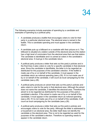The following scenarios include examples of spending by a candidate and examples of spending by a political party.

- A candidate produces a leaflet that encourages voters to vote for their party in a particular electoral area. The electoral area is named in the leaflet. This is candidate spending and must appear in the candidate return.
- A candidate puts up a billboard on a roadside with their picture on it. The billboard is situated at a station outside of the electoral area but the station has a high level of commuters from the electoral area that use that station. The candidate is identifiable and it is aimed at voters in the candidate's electoral area. It must go in the candidate return.
- A political party produces a letter that sets out the party's policies and in the final lines it asks voters to vote for a specific candidate in that electoral area. Since the candidate is identifiable, the letter is to be regarded as distributed for the purposes of the candidate's election. If the leaflet is made use of by or on behalf of the candidate, it must appear in the candidate return as notional spending (see p.29). If it is not made use of by or on behalf of the candidate, it will count as local campaigning for the candidate (see p.28).
- A political party produces an advert that sets out the party's policies and asks voters to vote for the party in that electoral area. Although the advert does not name the candidate, it identifies the electoral area. Therefore the advert is to be regarded as distributed for the purposes of the party's candidate's election. If the advert is made use of by or on behalf of the candidate, it must appear in the candidate return as notional spending (see p.29). If it is not made use of by or on behalf of the candidate, it will count as local campaigning for the candidate (see p.28).
- A political party produces a letter that sets out the party's policies and encourages voters to vote for the party. Although the letter is addressed to a household in an electoral area, the letter itself does not identify the candidate or the electoral area. This is not to be regarded as used for the purposes of the candidate's election. Therefore no spending needs to appear in the candidate return.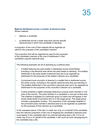#### **Material distributed across a number of electoral areas** Where material:

- features a candidate
- is distributed across a wider area than just the specific electoral area in which that candidate is standing

a proportion of the cost of that material will be regarded as used for the purposes of the candidate's election.

The proportion that will be regarded as used for the purposes of the candidate's election is the cost of distribution in that candidate's specific electoral area.

The following examples are all of spending by a political party.

- A leaflet featuring the party leader is distributed across Great Britain, including in the electoral area where the party leader is standing. The leaflets distributed in the party leader's electoral area are to be regarded as distributed for the purposes of the leader's election as a candidate.
- A prominent local councillor is featured in a leaflet that is distributed across the entire county, including in the specific electoral area they are standing in. The leaflets distributed in the councillor's electoral area are to be regarded as distributed for the purposes of the councillor's election as a candidate.
- A party prepares a digital campaign featuring a popular party member in one area of the country. The party member is a candidate in one part of that area. The material is targeted at a particular group of voters and will appear in the social media feeds of someone who is in the target group. The target group includes a geographic location. The proportion of the campaign targeted in the prominent party member's electoral area is to be regarded as published for the purposes of their election as a candidate.

In the examples above, if the item is *made use of by or on behalf of* the candidate, then the relevant proportion of the cost of targeting the candidate's electoral area must appear in the candidate return as notional spending (see p.29). If it is not made use of by or on behalf of the candidate, it will count as local campaigning for the candidate (see p.28).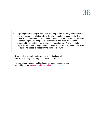• A party prepares a digital campaign featuring a popular party member across the entire country, including where the party member is a candidate. The material is not targeted but will appear if a particular set of words is typed into a search engine. It is not possible to ascertain how often or when this appeared to voters in the party member's constituency. This is not to be regarded as used for the purposes of their election as a candidate. Therefore no spending needs to appear in the candidate return.

If you are in any doubt as to whether spending is or will be candidate or party spending, you should contact us.

For more information on political party campaign spending, see our guidance on [party campaign spending.](https://www.electoralcommission.org.uk/i-am-a/party-or-campaigner/political-parties/election-campaign-spending)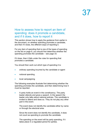## How to assess how to report an item of spending: does it promote a candidate, and if it does, how to report it

This section shows how to apply the guidance from earlier in the document, on whether spending promotes a candidate, and then if it does, the different ways of reporting it.

For any item of spending that is one of the types of spending on the list on page 8, you should first determine whether the spending promotes the candidate – see page 33.

If it does, then it falls under the rules for spending that promotes a candidate.

You should then work out which type of spending it is:

- ordinary spending incurred by the candidate or agent
- notional spending
- local campaigning

The following examples illustrate first determining whether the spending promotes the candidate, and then determining how it must be reported.

• A party holds an event in the constituency. The party leader attends and gives a speech. In the speech the leader only talks about national policies. The candidate is invited to attend and does so. They do not play any other part in the event.

The event does not identify the candidate either by name or through the electoral area.

Since the event does not identify the candidate, it does not count as spending to promote the candidate.

The spending on the event will be party spending, if it takes place in a regulated period for parties.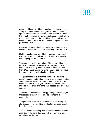• A party holds an event in the candidate's electoral area. The party leader attends and gives a speech. In the speech the leader talks about national policies for most of the time, but spends ten minutes talking specifically about the electoral area and the candidate. The candidate is invited to attend and does so. They do not play any other part in the event.

As the candidate and the electoral area are named, that section of the event counts as promoting the candidate.

Nothing has been provided to the candidate for them to use, so it is not notional spending. Rather, the party is campaigning for the candidate.

The spending on the proportion of the event which promotes the candidate is local campaigning for the candidate. The party must not incur expenses of more than £700 on promoting the candidate, unless they have the agent's written authorisation to do so.

• The party holds an event in the candidate's electoral area. The party leader attends and gives a speech. In the speech the leader talks about national policies, but also invites the candidate to give their own speech for ten minutes of the time. The candidate accepts and gives the speech.

The candidate is identified by appearing on the stage, so that section of the event counts as promoting the candidate.

The party has provided the candidate with a facility  $- a$ slot at their event – and the candidate has made use of it by giving the speech.

This is notional spending. The appropriate value must be recorded in the candidate's spending return, and as a donation from the party.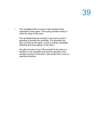• The candidate holds an event in their electoral area, organised by their agent. Their party provides money to cover the costs of the event.

The candidate features centrally in the event so this is spending promoting the candidate. The spending has been incurred by the agent, so this is ordinary candidate spending and must appear on the return.

Any gift of money of over £50 provided by the party is a donation to the candidate and must be reported in the donations section of the return. See section B for more on reporting donations.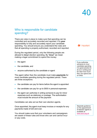## Who is responsible for candidate spending?

There are rules in place to make sure that spending can be controlled and accurately recorded and reported. It is **your**  responsibility to fully and accurately report your candidate spending. You should ensure you understand the rules and that all spending is properly authorised, recorded and reported.

During the regulated period, only the following people are allowed to **incur** election spending. By **'incur'** we mean making a legal commitment to spend the money:

- the agent
- the candidate, and
- anyone authorised by the candidate or agent

The agent rather than the candidate must make **payments** for most candidate spending during the regulated period. There are three exceptions:

- the candidate can pay for items before the agent is appointed
- the candidate can pay for up to £600 in personal expenses
- the agent can authorise in writing someone to pay for minor expenses such as stationery or postage. The authorisation must include the amount of the payment

Candidates can also act as their own election agents.

Once appointed, the agent must keep invoices or receipts for any payments made of £20 and over.

You should make sure that your volunteers and campaigners are aware of these rules and know who can and cannot incur or pay costs.



If you authorise someone to incur candidate spending, it is good practice to do so in writing and be clear how much they can spend and on what.

Separate guidance on the appointment of election agents is available at [www.eoni.org.uk.](http://www.eoni.org.uk/)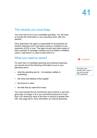## <span id="page-42-0"></span>The records you must keep

You must record all of your candidate spending. You will need to include this information in your spending return after the election.

Once appointed, the agent is responsible for all payments for election expenses and must keep invoices or receipts for any payments of £20 or over. The agent should also keep copies of each example of campaign material (such as letters or leaflets) used in case there is a need to refer back to it.

### <span id="page-42-1"></span>What you need to record

For each item of candidate spending and personal expenses, you should record the following information to put in your spending return:

- what the spending was for  $-$  for example, leaflets or advertising
- the name and address of the supplier
- the amount or value
- the date that you spent the money

You must include the full commercial value of items or services given free of charge or at a non-commercial discount of more than 10% where the value of the item or service is greater than £50. See page 28 for more information on notional spending.



All costs must include VAT, even if you can recover VAT payments.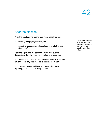## <span id="page-43-0"></span>After the election

After the election, the agent must meet deadlines for:

- receiving and paying invoices, and
- submitting a spending and donations return to the local returning officer.

Both the agent and the candidate must also submit declarations that the return is complete and accurate.

You must still submit a return and declarations even if you haven't spent any money. This is called a 'nil return'.

You can find these deadlines, and more information on reporting, in Section C of this guidance.

Candidates declared to be elected in an uncontested election must still make an election spending return.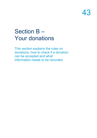## <span id="page-44-0"></span>Section B – Your donations

This section explains the rules on donations, how to check if a donation can be accepted and what information needs to be recorded.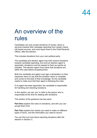## An overview of the rules

Candidates can only accept donations of money, items or services towards their campaign spending from certain mainly UK-based sources, and must report them to the Chief Electoral Officer, after the election.

This includes donations from your own political party.

The candidate and election agent may both receive donations towards candidate spending, but once an election agent is appointed, donations must be passed to them as quickly as possible. The election agent must check that donations are within the rules before accepting them.

Both the candidate and agent must sign a declaration on their expenses return to say that the donation return is complete and correct to the best of their knowledge. So the candidate needs to make sure that their agent is following the rules.

If no agent has been appointed, the candidate is responsible for handling and checking donations.

In this section, we use 'you' to refer to the person who is responsible at the time for dealing with donations.

This section of the guidance has two parts:

**Part One** explains the rules on donations, and who you can accept them from.

**Part Two** explains the checks you need to make on different types of donor, and the information you need to record.

You can find out more about reporting donations after the election in Section C.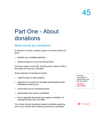## Part One - About donations

## <span id="page-46-0"></span>What counts as a donation?

A donation is money, property, goods or services which are given:

- towards your candidate spending
- without charge or on non-commercial terms

and has a value of over £50. Anything with a value of £50 or less does not count as a donation.

Some examples of donations include:

- a gift of money or other property
- payment of an invoice for candidate spending that would otherwise be paid by you
- a loan that is not on commercial terms
- sponsorship of an event or publication
- free or specially discounted use property or facilities, for example the free use of an office

You should include donations towards candidate spending even if you receive them before you become a candidate.

For more information on sponsorship, see this document:

[Factsheet:](http://www.electoralcommission.org.uk/__data/assets/pdf_file/0004/153859/fs-sponsorship.pdf)  **[Sponsorship](http://www.electoralcommission.org.uk/__data/assets/pdf_file/0004/153859/fs-sponsorship.pdf)** 

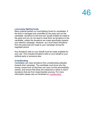### **Local party fighting funds**

Many political parties run local fighting funds for candidates. If the fund is managed and controlled by the party and not the candidate, donations to the fund are usually treated as made to the party and you do not need to treat them as donations to the candidate, unless the donations are made specifically towards your election campaign. However, you must report donations from the party that are made to your campaign during the regulated period.

Any donations held on your behalf must be made available for your use. This includes donations held on your behalf by your political party or someone else.

### **Crowdfunding**

Candidates can raise donations from crowdfunding websites towards their campaign. The candidate must know who the money comes from so that they can carry out the permissibility checks, and ensure that there are measures in place to return donations that are from impermissible sources. For more information please see our factsheet on [crowdfunding.](https://www.electoralcommission.org.uk/media/4371)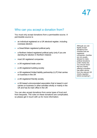## <span id="page-48-0"></span>Who can you accept a donation from?

You must only accept donations from a permissible source. A permissible source is:

- an individual registered on a UK electoral register, including overseas electors
- a Great Britain registered political party
- a Northern Ireland registered political party (only if you are standing for election in Northern Ireland)
- most UK registered companies
- a UK-registered trade union
- a UK-registered building society
- a UK-registered limited liability partnership (LLP) that carries on business in the UK
- a UK-registered friendly society
- a UK-based unincorporated association that is based in and carries on business or other activities wholly or mainly in the UK and has its main office in the UK

You can also accept donations from some types of trust and from bequests. The rules on these donations are complicated, so please get in touch with us for more information.

Although you can legally accept donations from charities that are registered companies, charities are not usually allowed to make political donations under charity law. You should check that any charity offering a donation has taken advice from the relevant UK charity regulator before accepting it.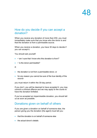### <span id="page-49-0"></span>How do you decide if you can accept a donation?

When you receive any donation of more than £50, you must immediately make sure that you know who the donor is and that the donation is from a permissible source.

When you receive a donation, you have 30 days to decide if you can accept it.

You should ask yourself:

- • 'am I sure that I know who this donation is from?'
- • 'is the donor permissible?

If:

- the donation is not from a permissible donor, or
- for any reason you cannot be sure of the true identity of the source

you must return it within the 30-day period.

If you don't, you will be deemed to have accepted it, you may commit a criminal offence and we may apply to the courts to have the donation forfeited.

If you've accepted an impermissible donation, you should tell us as soon as possible.

### <span id="page-49-1"></span>Donations given on behalf of others

If you are given a donation on behalf of someone else, the person giving you the donation (the agent) must tell you:

- that the donation is on behalf of someone else
- the actual donor's details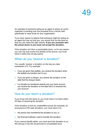An example of someone acting as an agent is where an event organiser is handing over the proceeds from a dinner held specifically to raise funds for your organisation.

If you have reason to believe that someone might be acting as an agent but has not told you, you should find out the facts so that you can make the right checks. **If you are uncertain who the actual donor is you must not accept the donation**.

If the donation isn't from a permissible donor, or for any reason you can't be sure of the true identity of the source, you must return it within this 30-day period.

## <span id="page-50-0"></span>When do you 'receive' a donation?

You usually 'receive' a donation on the day you take possession of it. For example:

- if you are given free leaflets, you receive the donation when the leaflets are handed over to you.
- if you are given a cheque, you receive the donation on the date that the cheque clears.
- if a donation is transferred directly into your bank account you receive the donation on the date that it is received into your account.

### <span id="page-50-1"></span>How do you return a donation?

If you know who the donor is, you must return it to them within 30 days of receiving the donation.

If the donation is from an unidentified source (for example, an anonymous £100 cash donation), you must return it to:

- the person who transferred the donation to you; or
- the financial institution used to transfer the donation.

If you cannot identify either, you must send the donation to us. We will pay it into the Government's consolidated fund.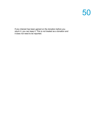If any interest has been gained on the donation before you return it, you can keep it. This is not treated as a donation and it does not need to be reported.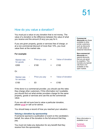## <span id="page-52-0"></span>How do you value a donation?

You must put a value on any donation that is not money. The value of a donation is the difference between the value of what you receive and the amount (if any) you pay for it.

If you are given property, goods or services free of charge, or at a non-commercial discount of more than 10%, you must value them at the market rate.

#### **For example:**

| Market rate<br>for goods           | ٠ | Price you pay |   | Value of donation |
|------------------------------------|---|---------------|---|-------------------|
| £200                               | - | £100          |   | £100              |
| Or:                                |   |               |   |                   |
| <b>Market rate</b><br>for services |   | Price you pay | = | Value of donation |

If the donor is a commercial provider, you should use the rates they charge other customers. If this information isn't available, you should find out what similar providers charge for the same property, goods or services and use this as the commercial value.

If you are still not sure how to value a particular donation, please [email](mailto:pef@electoralcommission.org.uk) or call us for advice.

 $£150$  -  $£0$  =  $£150$ 

You should keep a record of how you reached your valuation.

#### **Valuing a donation by sponsorship**

If someone sponsors a publication or event on the candidate's behalf, the value of the donation is the full amount that they pay.

You must not make any deduction for any benefit that they receive from the sponsorship.

**Commercial discounts** are those available to other similar customers, such as discounts for bulk orders or seasonal reductions.

**Non-commercial discounts** are special discounts that you are given by suppliers. This includes any special rate that is not available on the open market.

More information is available in our

[Factsheet:](https://www.electoralcommission.org.uk/media/2046)  **[Sponsorship](https://www.electoralcommission.org.uk/media/2046)**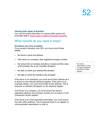#### **Valuing other types of donation**

You can find more information on valuing office space and seconded staff in [Expert paper: Splitting campaign spending.](https://www.electoralcommission.org.uk/media/2916)

### <span id="page-53-0"></span>What records do you need to keep?

#### **Donations you have accepted**

If you accept a donation over £50, you must record these details:

- the donor's name and address
- if the donor is a company, their registered company number
- the amount (for a monetary donation) or nature and the value of the donation (for a non monetary donation)
- the date on which you received the donation
- the date on which the donation was accepted

If the donor is an individual, you must record their address as it is shown on the relevant electoral register. If the donor is an overseas elector, you must record their home address. This is because no address will appear on the electoral register.

If the donor is a company, you must record the donor's registered address and company number as it is shown on the Companies House register.

If the donor is an unincorporated association, you must record the main office address. This is because there is no register of unincorporated associations to refer to.

For more information on how to check donations, see Part 2 of this section.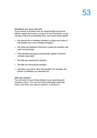#### **Donations you have returned**

If you receive a donation from an impermissible source the election agent must return it or pay it to the Commision, so we can pay it into the consolidated fund, and record these details:

- the amount (for a monetary donation) or nature and value of the donation (for a non-monetary donation)
- the name and address of the donor (unless the donation was given anonymously)
- if the donation was given anonymously, details of how the donation was made
- the date you received the donation
- the date you returned the donation
- the action you took to return the donation (for example, the person or institution you returned it to)

#### **After the election**

You will need to report these details in your spending and donations return. You can find more information about the return, and when you need to submit it, in Section C.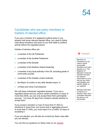### <span id="page-55-0"></span>Candidates who are party members or holders of elected office

If you are a member of a registered political party or you already hold some relevant elected office, you need to follow rules about donations and loans to you that relate to political activity before the regulated period

Holders of elective office are:

- a member of the UK Parliament
- a member of the Scottish Parliament
- a member of the Senedd
- a member of the Northern Ireland Assembly
- a member of any local authority in the UK, excluding parish or community councils
- a member of the Greater London Authority
- the Mayor of London or any other elected mayor, or
- a Police and Crime Commissioner

We call these individuals 'regulated donees'. If you are a regulated donee and you receive certain donations or loans of more than £500, you can only accept them from permissible sources. You have 30 days from receipt to decide whether to accept them.

If you accept a donation or loan of more than £1,500 (or donations or loans from one source that in aggregate amount to more than £1,500), you must report it to us within 30 days of accepting it.

If you are elected, you will also be covered by these rules after you are elected.

You can find our guidance on these rules on our [website.](http://www.electoralcommission.org.uk/find-information-by-subject/political-parties-campaigning-and-donations/donations-and-loans-to-other-individuals-and-organisations/guidance-for-regulated-individuals)



Members of Parliament do not need to report permissible donations and loans directly to us. The Registrar of Members' Financial Interests will pass the relevant information to us so that we can check permissibility and publish details on our registers.

Members still need to report to us directly if they return a donation because the donor is not permissible.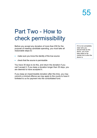## Part Two - How to check permissibility

Before you accept any donation of more than £50 for the purpose of meeting candidate spending, you must take all reasonable steps to:

- make sure you know the identity of the true source
- check that the source is permissible

You have 30 days to do this, and return the donation if you can't accept it. If you keep a donation longer than 30 days, you are deemed to have accepted it.

If you keep an impermissible donation after this time, you may commit a criminal offence we may apply to the courts to have it forfeited to us for payment into the consolidated fund.

If it is not completely clear who you should treat as the donor, you must take steps to be certain as to who the donor is.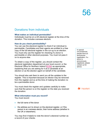## <span id="page-57-0"></span>Donations from individuals

#### **What makes an individual permissible?**

Individuals must be on a UK electoral register at the time of the donation. This includes overseas electors.

#### **How do you check permissibility?**

You can use the electoral register to check if an individual is permissible. Candidates and their agents are entitled to a free copy of the full electoral register in the run-up to an election. You must only use the register for checking if a donor is permissible or other electoral purposes. You must not pass it on to anyone else.

To obtain a copy of the register, you should contact the electoral registration department at your local council, or the Electoral Office for Northern Ireland [\(EONI\)](http://www.eoni.org.uk./) as appropriate, explaining that you are asking for it as a candidate at an election or as the election agent on behalf of the candidate.

You should also ask them to send you all the updates to the register. This is important because an elector may be removed from the register and so at the time of making the donation no be a permissible donor.

You must check the register and updates carefully to make sure that the person is on the register on the date you received the donation.

### **What information must you record?**

You must record:

- the full name of the donor
- the address as it is shown on the electoral register, or if the person is an overseas elector, their home address (whether in the UK or elsewhere).

You may find it helpful to note the donor's electoral number as a record of your checks.

In special circumstances, people have an anonymous registration. If a donor is anonymously registered, please contact us for advice.

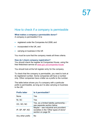## <span id="page-58-0"></span>How to check if a company is permissible

### **What makes a company a permissible donor?**

A company is permissible if it is:

- registered under the Companies Act 2006; and
- incorporated in the UK, and
- carrying on business in the UK

You must be sure that the company meets all three criteria.

### **How do I check company registration?**

You should check the register at Companies House, using the free Webcheck service at [www.gov.uk/companies-house.](http://www.gov.uk/companies-house)

You should look at the full register entry for the company.

To check that the company is permissible, you need to look at its registered number. Some companies will have a number only. Other companies have a letter as a prefix to the number.

The table below shows you if a company with a particular prefix is permissible, as long as it is also carrying on business in the UK.

| <b>Prefix letter</b> | Is it permissible?                                                                                    |
|----------------------|-------------------------------------------------------------------------------------------------------|
| None                 | Yes                                                                                                   |
| NI, SC               | Yes                                                                                                   |
| OC, SO, NC           | Yes, as a limited liability partnership –<br>see separate section below                               |
| IP, SP, NP, NO       | Maybe – see industrial and provident<br>societies in the 'Other types of donor'<br>section on page 54 |
| Any other prefix     | N٥                                                                                                    |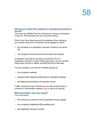### **How do you check if the company is carrying out business in the UK?**

You must be satisfied that the company is carrying on business in the UK. The business can be non-profit-making.

Even if you have direct personal knowledge of the company, you should check the Companies House register to see if:

- the company is in liquidation, dormant, or about to be struck off
- the company's accounts and annual return are overdue

A company may still be carrying on business if it is in liquidation, dormant or late in filing documents, but you should make extra checks to satisfy yourself that this is the case.

For any company, you should consider looking at:

- the company's website
- relevant trade, telephone directories or reputable websites
- the latest accounts filed at Companies House

If after carrying out your checks you are still uncertain that a company is permissible, please [email](mailto:pef@electoralcommission.org.uk) or call us for advice.

### **What information must you record?**

You must record:

- the name as it is shown on the Companies House register
- the company's registered office address and
- the registered company number.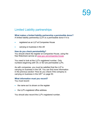## <span id="page-60-0"></span>Limited Liability partnerships

### **What makes a limited liability partnership a permissible donor?**

A limited liability partnership (LLP) is a permissible donor if it is:

- registered as an LLP at Companies House
- carrying on business in the UK

#### **How do you check permissibility?**

You should check the register at Companies House, using the free Webcheck service at [www.gov.uk/companies-house.](http://www.gov.uk/companies-house)

You need to look at the LLP's registered number. Only numbers beginning with OC or SO are permissible LLPs.

As with companies, you must be satisfied that the LLP is carrying on business in the UK. You can find more information in the previous section 'How do you check if the company is carrying on business in the UK?' on page 50.

#### **What information must you record?**

You must record:

- the name as it is shown on the register
- the LLP's registered office address.

You should also record the LLP's registered number.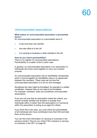## <span id="page-61-0"></span>Unincorporated associations

#### **What makes an unincorporated association a permissible donor?**

An unincorporated association is a permissible donor if:

- it has more than one member
- the main office is in the UK
- it is carrying on business or other activities in the UK

#### **How do you check permissibility?**

There is no register of unincorporated associations. Permissibility is a matter of fact in each case.

In general, an unincorporated association is an association of individuals who have come together to carry out a shared purpose.

An unincorporated association has an identifiable membership which is bound together by identifiable rules or an agreement between the members. These rules set out how the unincorporated association is to be run and managed.

Sometimes the rules might be formalised, for example in a written constitution. However they do not need to be formalised. For example, members' clubs are sometimes unincorporated associations.

If you are not sure that an association meets the criteria, you should consider whether the donation is actually from individuals within it (rather than the association) or if someone within the association is acting as an agent for others.

If you think this is the case, you must check the permissibility of all individuals who have contributed more than £50 and treat them as the donors.

You can find more information on carrying on business in the previous section 'How do you check if the company is carrying on business in the UK?' on page 50.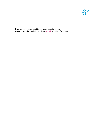If you would like more guidance on permissibility and unincorporated associations, please <u>email</u> or call us for advice.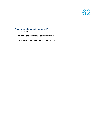### **What information must you record?**

You must record:

- the name of the unincorporated association
- the unincorporated association's main address.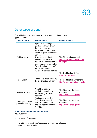## <span id="page-64-0"></span>Other types of donor

The table below shows how you check permissibility for other types of donor.

| <b>Type of donor</b>                      | <b>Requirement</b>                                                                                                                                                                                                                                                                                                                                             | <b>Where to check</b>                                                                                                |
|-------------------------------------------|----------------------------------------------------------------------------------------------------------------------------------------------------------------------------------------------------------------------------------------------------------------------------------------------------------------------------------------------------------------|----------------------------------------------------------------------------------------------------------------------|
| Political party                           | If you are standing for<br>election in Great Britain,<br>the party must be<br>registered on the Great<br>Britain register of political<br>parties<br>If you are standing for<br>election in Northern<br>Ireland, the political party<br>must be registered on the<br><b>Great Britain register OR</b><br>the Northern Ireland<br>register of political parties | The Electoral Commission<br>http://www.electoralcommissi<br><u>on.org.uk</u>                                         |
| Trade union                               | Listed as a trade union by<br>the Certification Officer                                                                                                                                                                                                                                                                                                        | The Certification Officer<br>www.certoffice.org<br>The Certification Officer (NI)<br>http://www.nicertoffice.org.uk/ |
| <b>Building society</b>                   | A building society<br>within the meaning of<br>the Building Societies<br>Act 1986                                                                                                                                                                                                                                                                              | <b>The Financial Services</b><br>Authority<br>http://mutuals.fsa.gov.uk                                              |
| Friendly/ industrial<br>provident society | Registered under the<br><b>Friendly Societies Act</b><br>1974 or the Industrial<br>and Provident Societies<br>Act 1965                                                                                                                                                                                                                                         | <b>The Financial Services</b><br>Authority<br>http://mutuals.fsa.gov.uk                                              |

### **What information must you record?**

You must record:

- the name of the donor
- the address of the Donor's principal or registered office, as shown, in the relevant register.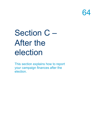

# <span id="page-65-0"></span>Section C – After the election

This section explains how to report your campaign finances after the election.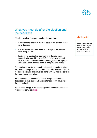## <span id="page-66-0"></span>What you must do after the election and the deadlines

After the election the agent must make sure that:

- all invoices are received within 21 days of the election result being declared
- all invoices are paid on time within 28 days of the election result being declared
- details of the candidate's spending and donations are reported to the Chief Electoral Officer in Northern Ireland within 35 days of the election result being declared, together with a declaration that the return is complete and correct

The candidate must also submit a declaration confirming that the return is complete and correct to the Chief Electoral Officer in Northern Ireland. This must be done within 7 working days of the return being submitted.

If the candidate is outside the United Kingdom when the declaration is due, the deadline is extended to 14 days after they come back.

You can find a copy of the spending return and the declarations you need to complete [here.](https://www.electoralcommission.org.uk/i-am-a/candidate-or-agent/uk-parliamentary-by-elections-Northern-Ireland)



You must still submit a return even if you haven't spent any money. This is called a 'nil return'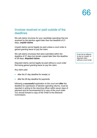### <span id="page-67-0"></span>Invoices received or paid outside of the deadlines

We call claims (invoices for your candidate spending) that are received by the election agent later than the deadline of 21 days, **unpaid claims**.

Unpaid claims cannot legally be paid unless a court order is gained granting leave to pay the claim.

We call claims (invoices) that were submitted within the deadline of 21 days but remain unpaid later than the deadline of 28 days, **disputed claims**.

Disputed claims cannot legally be paid without a court order first being gained granting leave to pay the claim.

Any claim paid

- after the 21-day deadline for receipt; or
- after the 28 day deadline for payments

following a **successful** application to the court and **after** the deadline for submission of election spending returns, must be reported in writing to the returning officer within seven days of payment and be accompanied by a copy of the court order. You should forward a copy of the Order to the Electoral Commission.

It can be an offence to pay an unpaid or disputed claim without a court order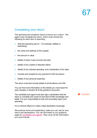## <span id="page-68-0"></span>Completing your return

The spending and donations report is known as a 'return'. The agent must complete the return, which must include the following for each item of spending:

- what the spending was for for example, leaflets or advertising
- the name and address of the supplier
- the amount or value
- details of when it was incurred and paid
- details of any unpaid or disputed claims
- details of any notional spending, and a declaration of its value
- invoices and receipts for any payment of £20 and above
- details of any personal expenses

The return must also include details of all donations over £50.

You can find more information on the details you must report for each donation in Section B of this guidance document.

The candidate and agent must also sign a declaration that the return is complete and correct to the best of their knowledge and belief. It is your responsibility to fully and accurately report your spending.

It is a criminal offence to make a false declaration knowingly.

We produce forms and explanatory notes you can use for your return and declarations. You can find these on our guidance page for [candidates and agents.](https://www.electoralcommission.org.uk/i-am-a/candidate-or-agent/uk-parliamentary-by-elections-Northern-Ireland) They cover all the information you must include.